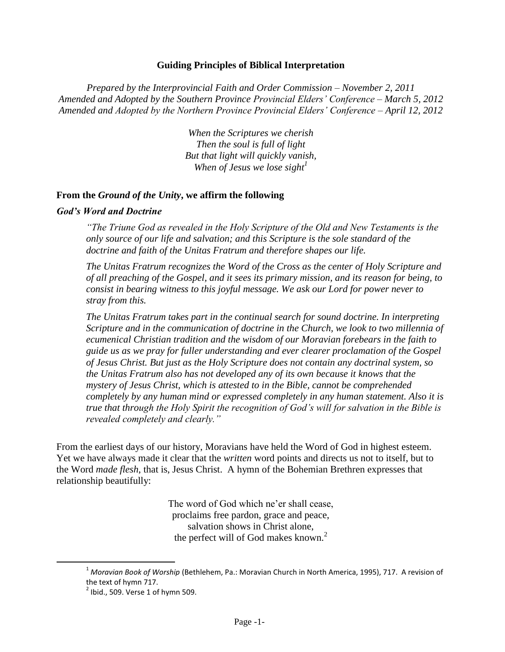#### **Guiding Principles of Biblical Interpretation**

*Prepared by the Interprovincial Faith and Order Commission – November 2, 2011 Amended and Adopted by the Southern Province Provincial Elders' Conference – March 5, 2012 Amended and Adopted by the Northern Province Provincial Elders' Conference – April 12, 2012*

> *When the Scriptures we cherish Then the soul is full of light But that light will quickly vanish, When of Jesus we lose sight<sup>1</sup>*

#### **From the** *Ground of the Unity***, we affirm the following**

#### *God's Word and Doctrine*

*"The Triune God as revealed in the Holy Scripture of the Old and New Testaments is the only source of our life and salvation; and this Scripture is the sole standard of the doctrine and faith of the Unitas Fratrum and therefore shapes our life.* 

*The Unitas Fratrum recognizes the Word of the Cross as the center of Holy Scripture and of all preaching of the Gospel, and it sees its primary mission, and its reason for being, to consist in bearing witness to this joyful message. We ask our Lord for power never to stray from this.* 

*The Unitas Fratrum takes part in the continual search for sound doctrine. In interpreting Scripture and in the communication of doctrine in the Church, we look to two millennia of ecumenical Christian tradition and the wisdom of our Moravian forebears in the faith to guide us as we pray for fuller understanding and ever clearer proclamation of the Gospel of Jesus Christ. But just as the Holy Scripture does not contain any doctrinal system, so the Unitas Fratrum also has not developed any of its own because it knows that the mystery of Jesus Christ, which is attested to in the Bible, cannot be comprehended completely by any human mind or expressed completely in any human statement. Also it is true that through the Holy Spirit the recognition of God's will for salvation in the Bible is revealed completely and clearly."*

From the earliest days of our history, Moravians have held the Word of God in highest esteem. Yet we have always made it clear that the *written* word points and directs us not to itself, but to the Word *made flesh*, that is, Jesus Christ. A hymn of the Bohemian Brethren expresses that relationship beautifully:

> The word of God which ne'er shall cease, proclaims free pardon, grace and peace, salvation shows in Christ alone, the perfect will of God makes known. $<sup>2</sup>$ </sup>

<sup>1</sup> *Moravian Book of Worship* (Bethlehem, Pa.: Moravian Church in North America, 1995), 717. A revision of the text of hymn 717.

 $<sup>2</sup>$  Ibid., 509. Verse 1 of hymn 509.</sup>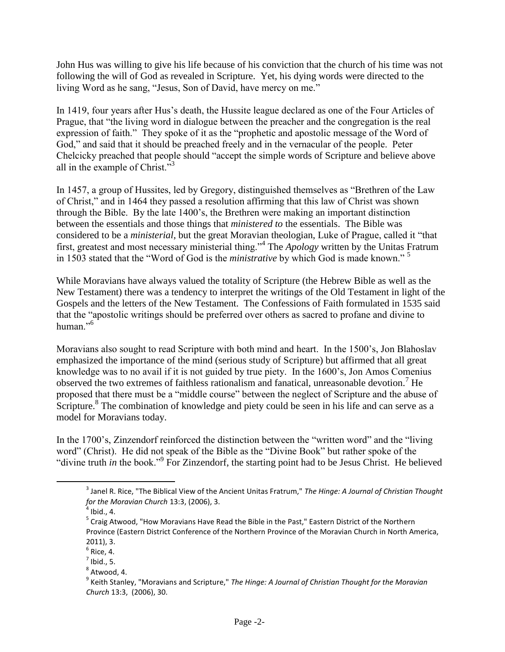John Hus was willing to give his life because of his conviction that the church of his time was not following the will of God as revealed in Scripture. Yet, his dying words were directed to the living Word as he sang, "Jesus, Son of David, have mercy on me."

In 1419, four years after Hus's death, the Hussite league declared as one of the Four Articles of Prague, that "the living word in dialogue between the preacher and the congregation is the real expression of faith." They spoke of it as the "prophetic and apostolic message of the Word of God," and said that it should be preached freely and in the vernacular of the people. Peter Chelcicky preached that people should "accept the simple words of Scripture and believe above all in the example of Christ."<sup>3</sup>

In 1457, a group of Hussites, led by Gregory, distinguished themselves as "Brethren of the Law of Christ," and in 1464 they passed a resolution affirming that this law of Christ was shown through the Bible. By the late 1400's, the Brethren were making an important distinction between the essentials and those things that *ministered to* the essentials. The Bible was considered to be a *ministerial*, but the great Moravian theologian, Luke of Prague, called it "that first, greatest and most necessary ministerial thing."<sup>4</sup> The *Apology* written by the Unitas Fratrum in 1503 stated that the "Word of God is the *ministrative* by which God is made known." <sup>5</sup>

While Moravians have always valued the totality of Scripture (the Hebrew Bible as well as the New Testament) there was a tendency to interpret the writings of the Old Testament in light of the Gospels and the letters of the New Testament. The Confessions of Faith formulated in 1535 said that the "apostolic writings should be preferred over others as sacred to profane and divine to human."<sup>6</sup>

Moravians also sought to read Scripture with both mind and heart. In the 1500's, Jon Blahoslav emphasized the importance of the mind (serious study of Scripture) but affirmed that all great knowledge was to no avail if it is not guided by true piety. In the 1600's, Jon Amos Comenius observed the two extremes of faithless rationalism and fanatical, unreasonable devotion.<sup>7</sup> He proposed that there must be a "middle course" between the neglect of Scripture and the abuse of Scripture.<sup>8</sup> The combination of knowledge and piety could be seen in his life and can serve as a model for Moravians today.

In the 1700's, Zinzendorf reinforced the distinction between the "written word" and the "living word" (Christ). He did not speak of the Bible as the "Divine Book" but rather spoke of the "divine truth *in* the book."<sup>9</sup> For Zinzendorf, the starting point had to be Jesus Christ. He believed

<sup>3</sup> Janel R. Rice, "The Biblical View of the Ancient Unitas Fratrum," *The Hinge: A Journal of Christian Thought for the Moravian Church* 13:3, (2006), 3.

 $<sup>4</sup>$  Ibid., 4.</sup>

<sup>&</sup>lt;sup>5</sup> Craig Atwood, "How Moravians Have Read the Bible in the Past," Eastern District of the Northern Province (Eastern District Conference of the Northern Province of the Moravian Church in North America, 2011), 3.

 $^6$  Rice, 4.

 $^7$  Ibid., 5.

 $^8$  Atwood, 4.

<sup>9</sup> Keith Stanley, "Moravians and Scripture," *The Hinge: A Journal of Christian Thought for the Moravian Church* 13:3, (2006), 30.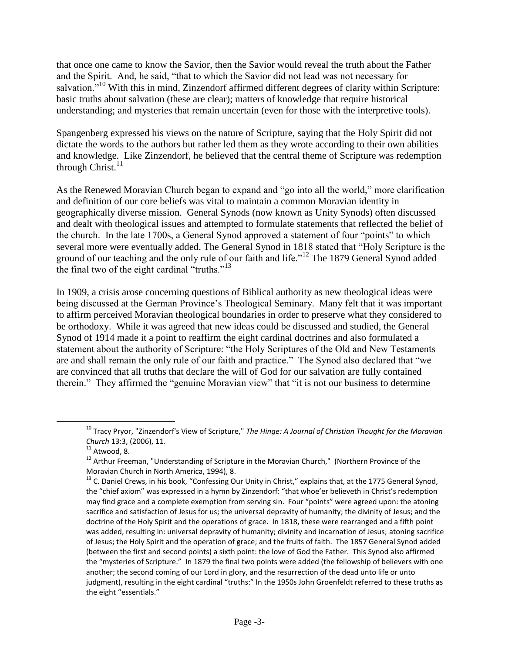that once one came to know the Savior, then the Savior would reveal the truth about the Father and the Spirit. And, he said, "that to which the Savior did not lead was not necessary for salvation.<sup>"10</sup> With this in mind, Zinzendorf affirmed different degrees of clarity within Scripture: basic truths about salvation (these are clear); matters of knowledge that require historical understanding; and mysteries that remain uncertain (even for those with the interpretive tools).

Spangenberg expressed his views on the nature of Scripture, saying that the Holy Spirit did not dictate the words to the authors but rather led them as they wrote according to their own abilities and knowledge. Like Zinzendorf, he believed that the central theme of Scripture was redemption through Christ. $^{11}$ 

As the Renewed Moravian Church began to expand and "go into all the world," more clarification and definition of our core beliefs was vital to maintain a common Moravian identity in geographically diverse mission. General Synods (now known as Unity Synods) often discussed and dealt with theological issues and attempted to formulate statements that reflected the belief of the church. In the late 1700s, a General Synod approved a statement of four "points" to which several more were eventually added. The General Synod in 1818 stated that "Holy Scripture is the ground of our teaching and the only rule of our faith and life."<sup>12</sup> The 1879 General Synod added the final two of the eight cardinal "truths."<sup>13</sup>

In 1909, a crisis arose concerning questions of Biblical authority as new theological ideas were being discussed at the German Province's Theological Seminary. Many felt that it was important to affirm perceived Moravian theological boundaries in order to preserve what they considered to be orthodoxy. While it was agreed that new ideas could be discussed and studied, the General Synod of 1914 made it a point to reaffirm the eight cardinal doctrines and also formulated a statement about the authority of Scripture: "the Holy Scriptures of the Old and New Testaments are and shall remain the only rule of our faith and practice." The Synod also declared that "we are convinced that all truths that declare the will of God for our salvation are fully contained therein." They affirmed the "genuine Moravian view" that "it is not our business to determine

<sup>10</sup> Tracy Pryor, "Zinzendorf's View of Scripture," *The Hinge: A Journal of Christian Thought for the Moravian Church* 13:3, (2006), 11.

 $11$  Atwood, 8.

<sup>&</sup>lt;sup>12</sup> Arthur Freeman, "Understanding of Scripture in the Moravian Church," (Northern Province of the Moravian Church in North America, 1994), 8.

<sup>&</sup>lt;sup>13</sup> C. Daniel Crews, in his book, "Confessing Our Unity in Christ," explains that, at the 1775 General Synod, the "chief axiom" was expressed in a hymn by Zinzendorf: "that whoe'er believeth in Christ's redemption may find grace and a complete exemption from serving sin. Four "points" were agreed upon: the atoning sacrifice and satisfaction of Jesus for us; the universal depravity of humanity; the divinity of Jesus; and the doctrine of the Holy Spirit and the operations of grace. In 1818, these were rearranged and a fifth point was added, resulting in: universal depravity of humanity; divinity and incarnation of Jesus; atoning sacrifice of Jesus; the Holy Spirit and the operation of grace; and the fruits of faith. The 1857 General Synod added (between the first and second points) a sixth point: the love of God the Father. This Synod also affirmed the "mysteries of Scripture." In 1879 the final two points were added (the fellowship of believers with one another; the second coming of our Lord in glory, and the resurrection of the dead unto life or unto judgment), resulting in the eight cardinal "truths:" In the 1950s John Groenfeldt referred to these truths as the eight "essentials."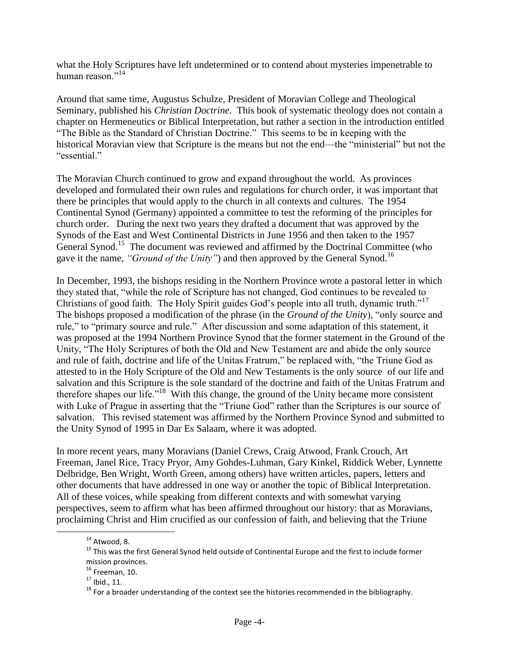what the Holy Scriptures have left undetermined or to contend about mysteries impenetrable to human reason $^{14}$ 

Around that same time, Augustus Schulze, President of Moravian College and Theological Seminary, published his *Christian Doctrine*. This book of systematic theology does not contain a chapter on Hermeneutics or Biblical Interpretation, but rather a section in the introduction entitled "The Bible as the Standard of Christian Doctrine." This seems to be in keeping with the historical Moravian view that Scripture is the means but not the end—the "ministerial" but not the "essential."

The Moravian Church continued to grow and expand throughout the world. As provinces developed and formulated their own rules and regulations for church order, it was important that there be principles that would apply to the church in all contexts and cultures. The 1954 Continental Synod (Germany) appointed a committee to test the reforming of the principles for church order. During the next two years they drafted a document that was approved by the Synods of the East and West Continental Districts in June 1956 and then taken to the 1957 General Synod.<sup>15</sup> The document was reviewed and affirmed by the Doctrinal Committee (who gave it the name, *"Ground of the Unity"*) and then approved by the General Synod.<sup>16</sup>

In December, 1993, the bishops residing in the Northern Province wrote a pastoral letter in which they stated that, "while the role of Scripture has not changed, God continues to be revealed to Christians of good faith. The Holy Spirit guides God's people into all truth, dynamic truth."<sup>17</sup> The bishops proposed a modification of the phrase (in the *Ground of the Unity*), "only source and rule," to "primary source and rule." After discussion and some adaptation of this statement, it was proposed at the 1994 Northern Province Synod that the former statement in the Ground of the Unity, "The Holy Scriptures of both the Old and New Testament are and abide the only source and rule of faith, doctrine and life of the Unitas Fratrum," be replaced with, "the Triune God as attested to in the Holy Scripture of the Old and New Testaments is the only sourceof our life and salvation and this Scripture is the sole standard of the doctrine and faith of the Unitas Fratrum and therefore shapes our life."<sup>18</sup> With this change, the ground of the Unity became more consistent with Luke of Prague in asserting that the "Triune God" rather than the Scriptures is our source of salvation. This revised statement was affirmed by the Northern Province Synod and submitted to the Unity Synod of 1995 in Dar Es Salaam, where it was adopted.

In more recent years, many Moravians (Daniel Crews, Craig Atwood, Frank Crouch, Art Freeman, Janel Rice, Tracy Pryor, Amy Gohdes-Luhman, Gary Kinkel, Riddick Weber, Lynnette Delbridge, Ben Wright, Worth Green, among others) have written articles, papers, letters and other documents that have addressed in one way or another the topic of Biblical Interpretation. All of these voices, while speaking from different contexts and with somewhat varying perspectives, seem to affirm what has been affirmed throughout our history: that as Moravians, proclaiming Christ and Him crucified as our confession of faith, and believing that the Triune

 $14$  Atwood, 8.

<sup>15</sup> This was the first General Synod held outside of Continental Europe and the first to include former mission provinces.

 $16$  Freeman, 10.

 $17$  Ibid., 11.

 $18$  For a broader understanding of the context see the histories recommended in the bibliography.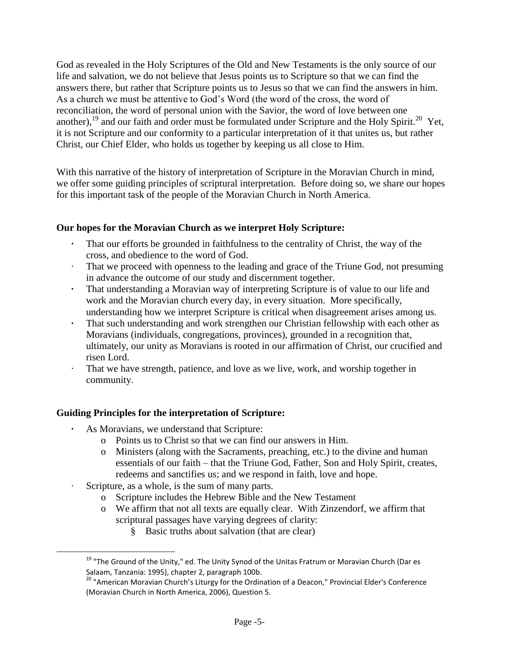God as revealed in the Holy Scriptures of the Old and New Testaments is the only source of our life and salvation, we do not believe that Jesus points us to Scripture so that we can find the answers there, but rather that Scripture points us to Jesus so that we can find the answers in him. As a church we must be attentive to God's Word (the word of the cross, the word of reconciliation, the word of personal union with the Savior, the word of love between one another),<sup>19</sup> and our faith and order must be formulated under Scripture and the Holy Spirit.<sup>20</sup> Yet, it is not Scripture and our conformity to a particular interpretation of it that unites us, but rather Christ, our Chief Elder, who holds us together by keeping us all close to Him.

With this narrative of the history of interpretation of Scripture in the Moravian Church in mind, we offer some guiding principles of scriptural interpretation. Before doing so, we share our hopes for this important task of the people of the Moravian Church in North America.

# **Our hopes for the Moravian Church as we interpret Holy Scripture:**

- **·** That our efforts be grounded in faithfulness to the centrality of Christ, the way of the cross, and obedience to the word of God.
- · That we proceed with openness to the leading and grace of the Triune God, not presuming in advance the outcome of our study and discernment together.
- **·** That understanding a Moravian way of interpreting Scripture is of value to our life and work and the Moravian church every day, in every situation. More specifically, understanding how we interpret Scripture is critical when disagreement arises among us.
- **·** That such understanding and work strengthen our Christian fellowship with each other as Moravians (individuals, congregations, provinces), grounded in a recognition that, ultimately, our unity as Moravians is rooted in our affirmation of Christ, our crucified and risen Lord.
- That we have strength, patience, and love as we live, work, and worship together in community.

# **Guiding Principles for the interpretation of Scripture:**

- **·** As Moravians, we understand that Scripture:
	- o Points us to Christ so that we can find our answers in Him.
	- o Ministers (along with the Sacraments, preaching, etc.) to the divine and human essentials of our faith – that the Triune God, Father, Son and Holy Spirit, creates, redeems and sanctifies us; and we respond in faith, love and hope.
	- Scripture, as a whole, is the sum of many parts.

- o Scripture includes the Hebrew Bible and the New Testament
- o We affirm that not all texts are equally clear. With Zinzendorf, we affirm that scriptural passages have varying degrees of clarity:
	- § Basic truths about salvation (that are clear)

<sup>&</sup>lt;sup>19</sup> "The Ground of the Unity," ed. The Unity Synod of the Unitas Fratrum or Moravian Church (Dar es Salaam, Tanzania: 1995), chapter 2, paragraph 100b.

<sup>&</sup>lt;sup>20</sup> "American Moravian Church's Liturgy for the Ordination of a Deacon," Provincial Elder's Conference (Moravian Church in North America, 2006), Question 5.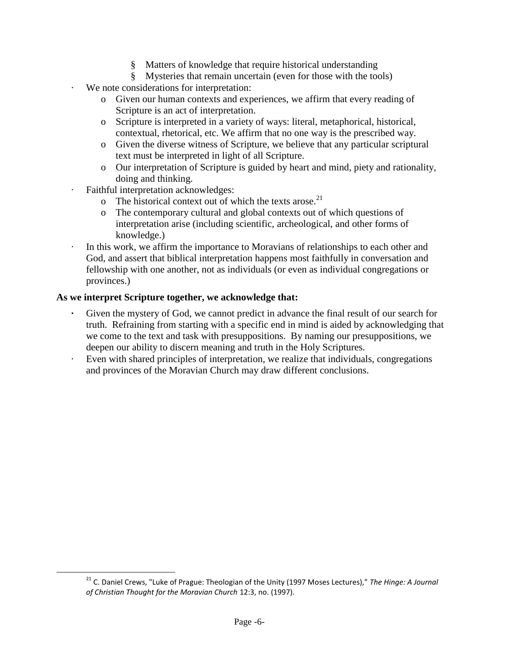- § Matters of knowledge that require historical understanding
- § Mysteries that remain uncertain (even for those with the tools)
- · We note considerations for interpretation:
	- o Given our human contexts and experiences, we affirm that every reading of Scripture is an act of interpretation.
	- o Scripture is interpreted in a variety of ways: literal, metaphorical, historical, contextual, rhetorical, etc. We affirm that no one way is the prescribed way.
	- o Given the diverse witness of Scripture, we believe that any particular scriptural text must be interpreted in light of all Scripture.
	- o Our interpretation of Scripture is guided by heart and mind, piety and rationality, doing and thinking.
	- Faithful interpretation acknowledges:
		- o The historical context out of which the texts arose.<sup>21</sup>
		- o The contemporary cultural and global contexts out of which questions of interpretation arise (including scientific, archeological, and other forms of knowledge.)
	- In this work, we affirm the importance to Moravians of relationships to each other and God, and assert that biblical interpretation happens most faithfully in conversation and fellowship with one another, not as individuals (or even as individual congregations or provinces.)

# **As we interpret Scripture together, we acknowledge that:**

- Given the mystery of God, we cannot predict in advance the final result of our search for truth. Refraining from starting with a specific end in mind is aided by acknowledging that we come to the text and task with presuppositions. By naming our presuppositions, we deepen our ability to discern meaning and truth in the Holy Scriptures.
- Even with shared principles of interpretation, we realize that individuals, congregations and provinces of the Moravian Church may draw different conclusions.

<sup>21</sup> C. Daniel Crews, "Luke of Prague: Theologian of the Unity (1997 Moses Lectures)," *The Hinge: A Journal of Christian Thought for the Moravian Church* 12:3, no. (1997).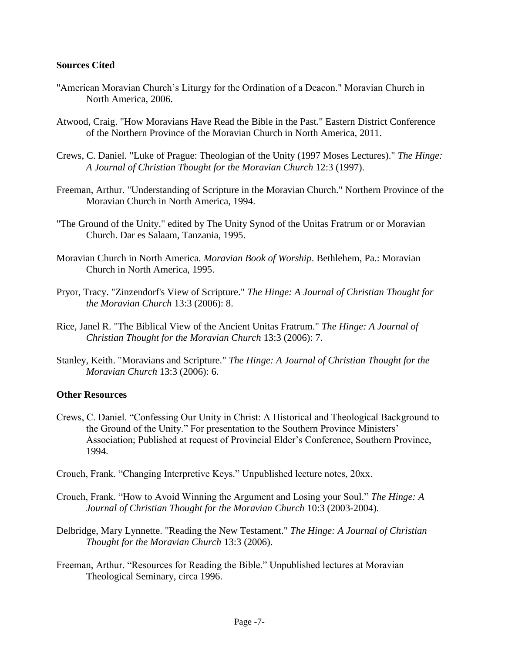### **Sources Cited**

- "American Moravian Church's Liturgy for the Ordination of a Deacon." Moravian Church in North America, 2006.
- Atwood, Craig. "How Moravians Have Read the Bible in the Past." Eastern District Conference of the Northern Province of the Moravian Church in North America, 2011.
- Crews, C. Daniel. "Luke of Prague: Theologian of the Unity (1997 Moses Lectures)." *The Hinge: A Journal of Christian Thought for the Moravian Church* 12:3 (1997).
- Freeman, Arthur. "Understanding of Scripture in the Moravian Church." Northern Province of the Moravian Church in North America, 1994.
- "The Ground of the Unity." edited by The Unity Synod of the Unitas Fratrum or or Moravian Church. Dar es Salaam, Tanzania, 1995.
- Moravian Church in North America. *Moravian Book of Worship*. Bethlehem, Pa.: Moravian Church in North America, 1995.
- Pryor, Tracy. "Zinzendorf's View of Scripture." *The Hinge: A Journal of Christian Thought for the Moravian Church* 13:3 (2006): 8.
- Rice, Janel R. "The Biblical View of the Ancient Unitas Fratrum." *The Hinge: A Journal of Christian Thought for the Moravian Church* 13:3 (2006): 7.
- Stanley, Keith. "Moravians and Scripture." *The Hinge: A Journal of Christian Thought for the Moravian Church* 13:3 (2006): 6.

# **Other Resources**

- Crews, C. Daniel. "Confessing Our Unity in Christ: A Historical and Theological Background to the Ground of the Unity." For presentation to the Southern Province Ministers' Association; Published at request of Provincial Elder's Conference, Southern Province, 1994.
- Crouch, Frank. "Changing Interpretive Keys." Unpublished lecture notes, 20xx.
- Crouch, Frank. "How to Avoid Winning the Argument and Losing your Soul." *The Hinge: A Journal of Christian Thought for the Moravian Church* 10:3 (2003-2004).
- Delbridge, Mary Lynnette. "Reading the New Testament." *The Hinge: A Journal of Christian Thought for the Moravian Church* 13:3 (2006).
- Freeman, Arthur. "Resources for Reading the Bible." Unpublished lectures at Moravian Theological Seminary, circa 1996.